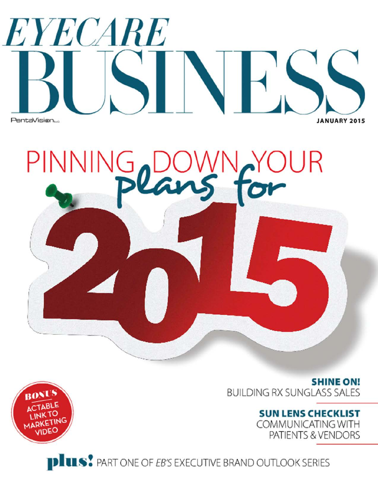# EYECARE PentaVision... **JANUARY 2015**

INGYO PINNING<sub>2</sub>D JR

> **SHINE ON! BUILDING RX SUNGLASS SALES**

**SUN LENS CHECKLIST** 

COMMUNICATING WITH PATIENTS & VENDORS

**PLUS**: PART ONE OF EB'S EXECUTIVE BRAND OUTLOOK SERIES

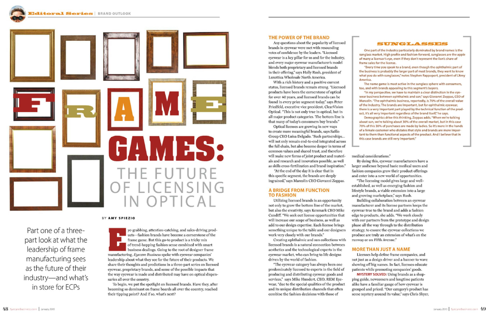

Part one of a threepart look at what the leadership of frame manufacturing sees as the future of their industry-and what's in store for ECPs

#### BY AMY SPIEZIO

ye-grabbing, attention-catching, and sales-driving products-fashion brands have become a cornerstone of the frame game. But this go-to product is a tricky mix of trend-hopping fashion sense combined with smart business dealings. Going to the root of designer frame manufacturing, Eyecare Business spoke with eyewear companies' leadership about what they see for the future of their products. We share their thoughts and predictions in a three-part series on licensed eyewear, proprietary brands, and some of the possible impacts that the way eyewear is made and distributed may have on optical dispensaries all over the country.

To begin, we put the spotlight on licensed brands. Have they, after becoming so dominant on frame boards all over the country, reached their tipping point? And if so, what's next?

## THE POWER OF THE BRAND

Any questions about the popularity of licensed brands in eyewear were met with resounding votes of confidence by the leaders. "Licensed eyewear is a key pillar for us and for the industry, and every major eyewear manufacturer's model blends both proprietary and licensed brands in their offering," says Holly Rush, president of Luxottica Wholesale North America.

With a rich history and a positive current status, licensed brands remain strong. "Licensed products have been the cornerstone of optical for over 40 years, and licensed brands can be found in every price segment today," says Peter Friedfeld, executive vice president, ClearVision Optical. "This is not only true in optical, but in all major product categories. The bottom line is that many of today's consumers buy brands."

Optical licenses are growing in new ways to create more meaningful brands, says Safilo Group CEO Luisa Delgado. "Such partnerships... will not only remain end-to-end integrated across the full chain, but also become deeper in terms of common values and shared trust, and therefore will make new forms of joint product and materials and research and innovation possible, as well as skills cross-fertilization and brand inspiration."

"At the end of the day it is clear that in this specific segment, the brands are deeply ingrained," says Marcolin CEO Giovanni Zoppas.

#### **A BRIDGE FROM FUNCTION TO FASHION**

Utilizing licensed brands is an opportunity not only to grow the bottom line of the market, but also the creativity, says Kenmark CEO Mike Cundiff. "We seek out license opportunities that will increase our scope of business, as well as add to our design expertise. Each license brings something unique to the table and our designers work very closely with our brands."

Creating ophthalmic and sun collections with licensed brands is a natural connection between aesthetics and the technological experts in the eyewear market, who can bring to life designs driven by the world of fashion.

"The eyewear category has always been one predominately licensed to experts in the field of producing and distributing eyewear goods and services," says Mike Hundert, CEO, REM Eyewear, "due to the special qualities of the product and its unique distribution channels that often combine the fashion decisions with those of

medical considerations." By doing this, eyewear manufacturers have a larger audience beyond basic medical users and fashion companies grow their product offerings and enter into a new world of opportunities. "The licensing model gives large and wellestablished, as well as emerging fashion and lifestyle brands, a viable extension into a large and growing marketplace," says Rush. Building collaboration between an eyewear manufacturer and its license partners keeps the eyewear true to the brand and adds a fashion edge to products, she adds. "We work closely with our partners from the prototype and design phase all the way through to the distribution strategy, to ensure the eyewear collections we produce are truly an extension of what's on the runway or on Fifth Avenue."

#### **SUNGLASSES**

One part of the industry particularly dominated by brand names is the sunglass market. High profile and fashion-forward, sunglasses are the apple of many a licensor's eye, even if they don't represent the lion's share of frame sales for the license.

"Every time you speak to a brand, even though the ophthalmic part of the business is probably the larger part of most brands, they want to know what you do with sunglasses," notes Stephen Rappoport, president of L'Amy **America** 

The name game is most active in the sunglass sphere with consumers, too, and with brands appealing to this segment's buyers.

"In my perspective, we have to maintain a clear distinction in the eyewear business between ophthalmic and sun," says Giovanni Zoppas, CEO of Marcolin. "The ophthalmic business, reportedly, is 70% of the overall value of the industry. The brands are important, but for ophthalmic eyewear, there is a very important part played by the technical function of the product, it's all very important regardless of the brand itself," he says.

Demographics drive this thinking, Zoppas adds. "When we're talking about sun, we're talking about 30% of the overall market, but in this case 70% of this 30% of purchases are made by ladies. So it's more in the hands of a female customer who dictates that style and brands are more important to them than functional aspects of the product. And I believe that in this case brands are still very important."

#### **MORE THAN JUST A NAME**

Licenses help define frame companies, and not just as a design driver and a banner to wave showing off big names. In fact, licenses educate patients while promoting companies' goods. MYSTERY SOLVED: Using brands as a shopping guide, newcomers and longtime patients alike have a familiar gauge of how eyewear is grouped and priced. "Our category's product has some mystery around its value," says Chris Shyer,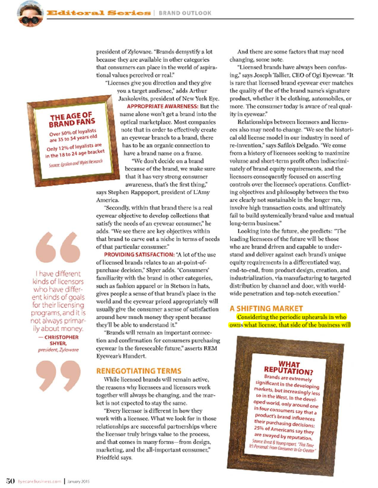president of Zyloware. "Brands demystify a lot because they are available in other categories that consumers can place in the world of aspirational values perceived or real."

"Licenses give you direction and they give you a target audience," adds Arthur

Jankolovits, president of New York Eye. **APPROPRIATE AWARENESS: But the** name alone won't get a brand into the optical marketplace. Most companies note that in order to effectively create an eyewear branch to a brand, there has to be an organic connection to have a brand name on a frame.

"We don't decide on a brand because of the brand, we make sure that it has very strong consumer awareness, that's the first thing,"

says Stephen Rappoport, president of L'Amy America.

"Secondly, within that brand there is a real eyewear objective to develop collections that satisfy the needs of an eyewear consumer," he adds. "We see there are key objectives within that brand to carve out a niche in terms of needs of that particular consumer."

PROVIDING SATISFACTION: "A lot of the use of licensed brands relates to an at-point-ofpurchase decision," Shyer adds. "Consumers' familiarity with the brand in other categories, such as fashion apparel or in Stetson in hats, gives people a sense of that brand's place in the world and the eyewear priced appropriately will usually give the consumer a sense of satisfaction around how much money they spent because they'll be able to understand it."

"Brands will remain an important connection and confirmation for consumers purchasing evewear in the foreseeable future," asserts REM Eyewear's Hundert.

## **RENEGOTIATING TERMS**

While licensed brands will remain active. the reasons why licensees and licensors work together will always be changing, and the market is not expected to stay the same.

"Every licensor is different in how they work with a licensee. What we look for in those relationships are successful partnerships where the licensor truly brings value to the process, and that comes in many forms-from design, marketing, and the all-important consumer," Friedfeld says.

And there are some factors that may need changing, some note.

"Licensed brands have always been confusing," says Joseph Tallier, CEO of Ogi Eyewear. "It is rare that licensed brand eyewear ever matches the quality of the of the brand name's signature product, whether it be clothing, automobiles, or more. The consumer today is aware of real quality in evewear."

Relationships between licensors and licensees also may need to change. "We see the historical old license model in our industry in need of re-invention," says Safilo's Delgado. "We come from a history of licensees seeking to maximize volume and short-term profit often indiscriminately of brand equity requirements, and the licensors consequently focused on asserting controls over the licensee's operations. Conflicting objectives and philosophy between the two are clearly not sustainable in the longer run, involve high transaction costs, and ultimately fail to build systemically brand value and mutual long-term business."

Looking into the future, she predicts: "The leading licensees of the future will be those who are brand driven and capable to understand and deliver against each brand's unique equity requirements in a differentiated way, end-to-end, from product design, creation, and industrialization, via manufacturing to targeted distribution by channel and door, with worldwide penetration and top-notch execution."

#### **A SHIFTING MARKET**

Considering the periodic upheavals in who owns what license, that side of the business will

**WHAT** 

**REPUTATION? Brands are extremely** significant in the developing markets, but increasingly less so in the West. In the developed world, only around one in four consumers say that a product's brand influences their purchasing decisions: 25% of Americans say they are swayed by reputation. Source: Ernst & Young report, "This Time It's Personal: From Consumer to Co-Creator"

THE AGE OF **BRAND FANS** Over 50% of loyalists are 35 to 54 years old Only 12% of loyalists are in the 18 to 24 age bracket Source: Epsilon and Wylei Research



I have different kinds of licensors who have different kinds of goals for their licensing programs, and it is not always primarily about money.

> - CHRISTOPHER SHYER, president, Zyloware

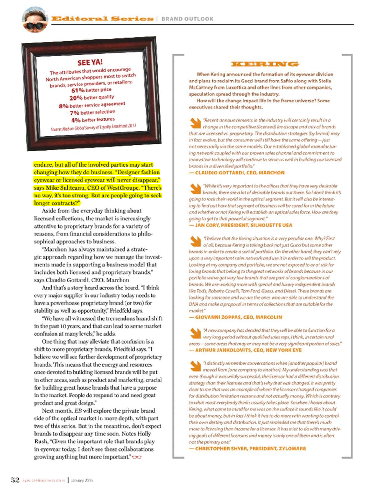

endure, but all of the involved parties may start changing how they do business. "Designer fashion eyewear or licensed eyewear will never disappear," says Mike Suliteanu, CEO of WestGroupe. "There's no way, it's too strong. But are people going to seek longer contracts?"

Aside from the everyday thinking about licensed collections, the market is increasingly attentive to proprietary brands for a variety of reasons, from financial considerations to philosophical approaches to business.

"Marchon has always maintained a strategic approach regarding how we manage the investments made in supporting a business model that includes both licensed and proprietary brands," says Claudio Gottardi, CEO, Marchon

And that's a story heard across the board. "I think every major supplier in our industry today needs to have a powerhouse proprietary brand (or two) for stability as well as opportunity," Friedfeld says.

"We have all witnessed the tremendous brand shift in the past 10 years, and that can lead to some market confusion at many levels," he adds.

One thing that may alleviate that confusion is a shift to more proprietary brands, Friedfeld says. "I believe we will see further development of proprietary brands. This means that the energy and resources once devoted to building licensed brands will be put in other areas, such as product and marketing, crucial for building great house brands that have a purpose in the market. People do respond to and need great product and great design."

Next month, EB will explore the private brand side of the optical market in more depth, with part two of this series. But in the meantime, don't expect brands to disappear any time soon. Notes Holly Rush, "Given the important role that brands play in eyewear today, I don't see these collaborations growing anything but more important." OO



When Kering announced the formation of its eyewear division and plans to reclaim its Gucci brand from Safilo along with Stella McCartney from Luxottica and other lines from other companies, speculation spread through the industry.

How will the change impact life in the frame universe? Some executives shared their thoughts.

"Recent announcements in the industry will certainly result in a change in the competitive (licensed) landscape and mix of brands that are licensed vs. proprietary. The distribution strategies (by brand) may in fact evolve, but the consumer will still have the same offering-just not necessarily via the same models. Our established global manufacturing network coupled with our proven sales channel and commitment to innovative technology will continue to serve us well in building our licensed brands in a diversified portfolio."

#### - CLAUDIO GOTTARDI, CEO, MARCHON

"While it's very important to the offices that they have very desirable brands, there are a lot of desirable brands out there. So I don't think it's going to rock their world in the optical segment. But it will also be interesting to find out how that segment of business will be cared for in the future and whether or not Kering will establish an optical sales force. How are they going to get to that powerful segment."

- JAN CORY, PRESIDENT, SILHOUETTE USA

"I believe that the Kering situation is a very peculiar one. Why? First of all, because Kering is taking back not just Gucci but some other brands in order to create a sort of portfolio. On the other hand, they can't rely upon a very important sales network and use it in order to sell the product. Looking at my company and portfolio, we are not exposed to or at risk for losing brands that belong to the great networks of brands because in our portfolio we've got very few brands that are part of conglomerations of brands. We are working more with special and luxury independent brands like Tod's, Roberto Cavalli, Tom Ford, Guess, and Diesel. These brands are looking for someone and we are the ones who are able to understand the DNA and make a proposal in terms of collections that are suitable for the market."

#### - GIOVANNI ZOPPAS, CEO, MARCOLIN

A new company has decided that they will be able to function for a very long period without qualified sales reps, I think, in certain rural areas-some areas that may or may not be a very significant portion of sales." - ARTHUR JANKOLOVITS, CEO, NEW YORK EYE

"I distinctly remember conversations when (another popular) brand moved from Jone company to another). My understanding was that even though it was wildly successful, the licensor had a different distribution strategy than their licensee and that's why that was changed. It was pretty clear to me that was an example of where the licensor changed companies for distribution limitation reasons and not actually money. Which is contrary to what most everybody thinks usually takes place. So when I heard about Kering, what came to mind for me was on the surface it sounds like it could be about money, but in fact I think it has to do more with wanting to control their own destiny and distribution. It just reminded me that there's much more to licensing than income for a licensor. It has a lot to do with many driving goals of different licensors and money is only one of them and is often not the primary one."

- CHRISTOPHER SHYER, PRESIDENT, ZYLOWARE